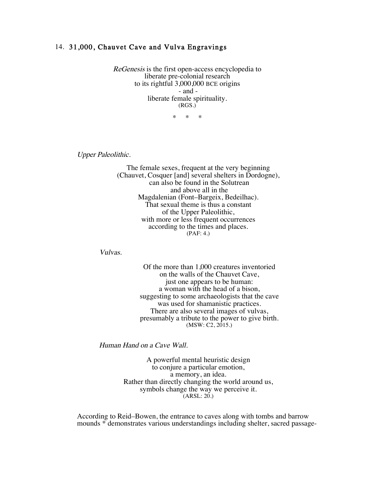## 14. 31,000, Chauvet Cave and Vulva Engravings

ReGenesis is the first open-access encyclopedia to liberate pre-colonial research to its rightful 3,000,000 BCE origins - and liberate female spirituality. (RGS.)

\* \* \*

Upper Paleolithic.

The female sexes, frequent at the very beginning (Chauvet, Cosquer [and] several shelters in Dordogne), can also be found in the Solutrean and above all in the Magdalenian (Font–Bargeix, Bedeilhac). That sexual theme is thus a constant of the Upper Paleolithic, with more or less frequent occurrences according to the times and places. (PAF: 4.)

Vulvas.

Of the more than 1,000 creatures inventoried on the walls of the Chauvet Cave, just one appears to be human: a woman with the head of a bison, suggesting to some archaeologists that the cave was used for shamanistic practices. There are also several images of vulvas, presumably a tribute to the power to give birth. (MSW: C2, 2015.)

Human Hand on a Cave Wall.

A powerful mental heuristic design to conjure a particular emotion, a memory, an idea. Rather than directly changing the world around us, symbols change the way we perceive it.  $(ARSL: 20.)$ 

According to Reid–Bowen, the entrance to caves along with tombs and barrow mounds \* demonstrates various understandings including shelter, sacred passage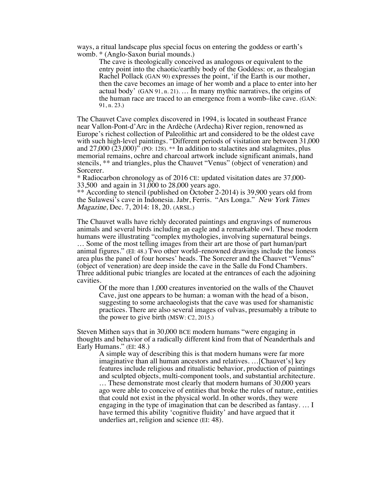ways, a ritual landscape plus special focus on entering the goddess or earth's womb. \* (Anglo-Saxon burial mounds.)

The cave is theologically conceived as analogous or equivalent to the entry point into the chaotic/earthly body of the Goddess: or, as thealogian Rachel Pollack (GAN 90) expresses the point, 'if the Earth is our mother, then the cave becomes an image of her womb and a place to enter into her actual body' (GAN 91, n. 21).  $\dots$  In many mythic narratives, the origins of the human race are traced to an emergence from a womb–like cave. (GAN: 91, n. 23.)

The Chauvet Cave complex discovered in 1994, is located in southeast France near Vallon-Pont-d'Arc in the Ardèche (Ardecha) River region, renowned as Europe's richest collection of Paleolithic art and considered to be the oldest cave with such high-level paintings. "Different periods of visitation are between 31,000 and  $27,000$   $(23,000)$ <sup>"</sup> (PO: 128). \*\* In addition to stalactites and stalagmites, plus memorial remains, ochre and charcoal artwork include significant animals, hand stencils, \*\* and triangles, plus the Chauvet "Venus" (object of veneration) and Sorcerer.

\* Radiocarbon chronology as of 2016 CE: updated visitation dates are 37,000- 33,500 and again in 31,000 to 28,000 years ago.

\*\* According to stencil (published on October 2-2014) is 39,900 years old from the Sulawesi's cave in Indonesia. Jabr, Ferris. "Ars Longa." New York Times Magazine, Dec. 7, 2014: 18, 20. (ARSL.)

The Chauvet walls have richly decorated paintings and engravings of numerous animals and several birds including an eagle and a remarkable owl. These modern humans were illustrating "complex mythologies, involving supernatural beings. … Some of the most telling images from their art are those of part human/part animal figures." (EI: 48.) Two other world–renowned drawings include the lioness area plus the panel of four horses' heads. The Sorcerer and the Chauvet "Venus" (object of veneration) are deep inside the cave in the Salle du Fond Chambers. Three additional pubic triangles are located at the entrances of each the adjoining cavities.

Of the more than 1,000 creatures inventoried on the walls of the Chauvet Cave, just one appears to be human: a woman with the head of a bison, suggesting to some archaeologists that the cave was used for shamanistic practices. There are also several images of vulvas, presumably a tribute to the power to give birth (MSW: C2, 2015.)

Steven Mithen says that in 30,000 BCE modern humans "were engaging in thoughts and behavior of a radically different kind from that of Neanderthals and Early Humans." (EI: 48.)

A simple way of describing this is that modern humans were far more imaginative than all human ancestors and relatives. …[Chauvet's] key features include religious and ritualistic behavior, production of paintings and sculpted objects, multi-component tools, and substantial architecture. … These demonstrate most clearly that modern humans of 30,000 years ago were able to conceive of entities that broke the rules of nature, entities that could not exist in the physical world. In other words, they were engaging in the type of imagination that can be described as fantasy. … I have termed this ability 'cognitive fluidity' and have argued that it underlies art, religion and science (EI: 48).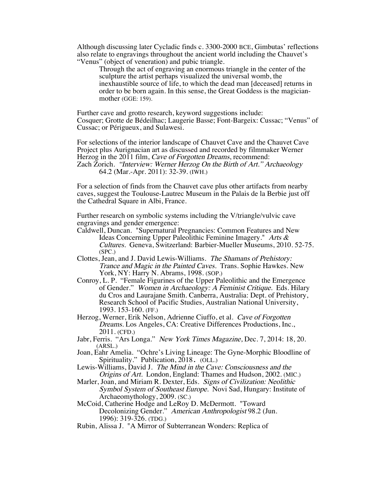Although discussing later Cycladic finds c. 3300-2000 BCE, Gimbutas' reflections also relate to engravings throughout the ancient world including the Chauvet's "Venus" (object of veneration) and pubic triangle.

Through the act of engraving an enormous triangle in the center of the sculpture the artist perhaps visualized the universal womb, the inexhaustible source of life, to which the dead man [deceased] returns in order to be born again. In this sense, the Great Goddess is the magicianmother (GGE: 159).

Further cave and grotto research, keyword suggestions include: Cosquer; Grotte de Bédeilhac; Laugerie Basse; Font-Bargeix: Cussac; "Venus" of Cussac; or Périgueux, and Sulawesi.

For selections of the interior landscape of Chauvet Cave and the Chauvet Cave Project plus Aurignacian art as discussed and recorded by filmmaker Werner Herzog in the 2011 film, Cave of Forgotten Dreams, recommend: Zach Zorich. "Interview: Werner Herzog On the Birth of Art." Archaeology 64.2 (Mar.-Apr. 2011): 32-39. (IWH.)

For a selection of finds from the Chauvet cave plus other artifacts from nearby caves, suggest the Toulouse-Lautrec Museum in the Palais de la Berbie just off the Cathedral Square in Albi, France.

Further research on symbolic systems including the V/triangle/vulvic cave engravings and gender emergence:

- Caldwell, Duncan. "Supernatural Pregnancies: Common Features and New Ideas Concerning Upper Paleolithic Feminine Imagery." Arts & Cultures. Geneva, Switzerland: Barbier-Mueller Museums, 2010. 52-75. (SPC.)
- Clottes, Jean, and J. David Lewis-Williams. The Shamans of Prehistory: Trance and Magic in the Painted Caves. Trans. Sophie Hawkes. New York, NY: Harry N. Abrams, 1998. (SOP.)
- Conroy, L. P. "Female Figurines of the Upper Paleolithic and the Emergence of Gender." Women in Archaeology: A Feminist Critique. Eds. Hilary du Cros and Laurajane Smith. Canberra, Australia: Dept. of Prehistory, Research School of Pacific Studies, Australian National University, 1993. 153-160. (FF.)

Herzog, Werner, Erik Nelson, Adrienne Ciuffo, et al. Cave of Forgotten Dreams. Los Angeles, CA: Creative Differences Productions, Inc., 2011. (CFD.)

- Jabr, Ferris. "Ars Longa." New York Times Magazine, Dec. 7, 2014: 18, 20. (ARSL.)
- Joan, Eahr Amelia. "Ochre's Living Lineage: The Gyne-Morphic Bloodline of Spirituality." Publication, 2018. (OLL.)
- Lewis-Williams, David J. The Mind in the Cave: Consciousness and the Origins of Art. London, England: Thames and Hudson, 2002. (MIC.)

Marler, Joan, and Miriam R. Dexter, Eds. Signs of Civilization: Neolithic Symbol System of Southeast Europe. Novi Sad, Hungary: Institute of Archaeomythology, 2009. (SC.)

McCoid, Catherine Hodge and LeRoy D. McDermott. "Toward Decolonizing Gender." American Anthropologist 98.2 (Jun. 1996): 319-326. (TDG.)

Rubin, Alissa J. "A Mirror of Subterranean Wonders: Replica of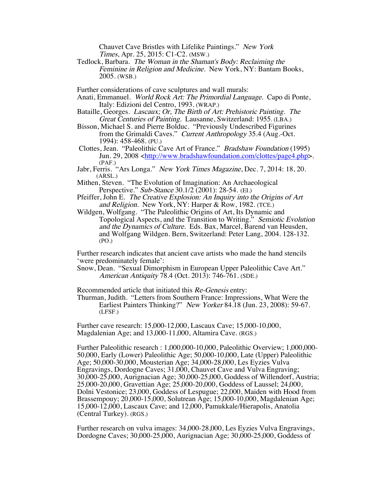Chauvet Cave Bristles with Lifelike Paintings." New York Times, Apr. 25, 2015: C1-C2. (MSW.)

Tedlock, Barbara. The Woman in the Shaman's Body: Reclaiming the Feminine in Religion and Medicine. New York, NY: Bantam Books, 2005. (WSB.)

Further considerations of cave sculptures and wall murals:

- Anati, Emmanuel. World Rock Art: The Primordial Language. Capo di Ponte, Italy: Edizioni del Centro, 1993. (WRAP.)
- Bataille, Georges. Lascaux; Or, The Birth of Art: Prehistoric Painting. The Great Centuries of Painting. Lausanne, Switzerland: 1955. (LBA.)
- Bisson, Michael S. and Pierre Bolduc. "Previously Undescribed Figurines from the Grimaldi Caves." Current Anthropology 35.4 (Aug.-Oct. 1994): 458-468. (PU.)
- Clottes, Jean. "Paleolithic Cave Art of France." Bradshaw Foundation (1995) Jun. 29, 2008 <http://www.bradshawfoundation.com/clottes/page4.php>. (PAF.)
- Jabr, Ferris. "Ars Longa." New York Times Magazine, Dec. 7, 2014: 18, 20. (ARSL.)
- Mithen, Steven. "The Evolution of Imagination: An Archaeological Perspective." Sub-Stance 30.1/2 (2001): 28-54. (EI.)
- Pfeiffer, John E. The Creative Explosion: An Inquiry into the Origins of Art and Religion. New York, NY: Harper & Row, 1982. (TCE.)
- Wildgen, Wolfgang. "The Paleolithic Origins of Art, Its Dynamic and Topological Aspects, and the Transition to Writing." Semiotic Evolution and the Dynamics of Culture. Eds. Bax, Marcel, Barend van Heusden, and Wolfgang Wildgen. Bern, Switzerland: Peter Lang, 2004. 128-132. (PO.)

Further research indicates that ancient cave artists who made the hand stencils 'were predominately female':

Snow, Dean. "Sexual Dimorphism in European Upper Paleolithic Cave Art." American Antiquity 78.4 (Oct. 2013): 746-761. (SDE.)

Recommended article that initiated this Re-Genesis entry:

Thurman, Judith. "Letters from Southern France: Impressions, What Were the Earliest Painters Thinking?" New Yorker 84.18 (Jun. 23, 2008): 59-67. (LFSF.)

Further cave research: 15,000-12,000, Lascaux Cave; 15,000-10,000, Magdalenian Age; and 13,000-11,000, Altamira Cave. (RGS.)

Further Paleolithic research : 1,000,000-10,000, Paleolithic Overview; 1,000,000- 50,000, Early (Lower) Paleolithic Age; 50,000-10,000, Late (Upper) Paleolithic Age; 50,000-30,000, Mousterian Age; 34,000-28,000, Les Eyzies Vulva Engravings, Dordogne Caves; 31,000, Chauvet Cave and Vulva Engraving; 30,000-25,000, Aurignacian Age; 30,000-25,000, Goddess of Willendorf, Austria; 25,000-20,000, Gravettian Age; 25,000-20,000, Goddess of Laussel; 24,000, Dolni Vestonice; 23,000, Goddess of Lespugue; 22,000, Maiden with Hood from Brassempouy; 20,000-15,000, Solutrean Age; 15,000-10,000, Magdalenian Age; 15,000-12,000, Lascaux Cave; and 12,000, Pamukkale/Hierapolis, Anatolia (Central Turkey). (RGS.)

Further research on vulva images: 34,000-28,000, Les Eyzies Vulva Engravings, Dordogne Caves; 30,000-25,000, Aurignacian Age; 30,000-25,000, Goddess of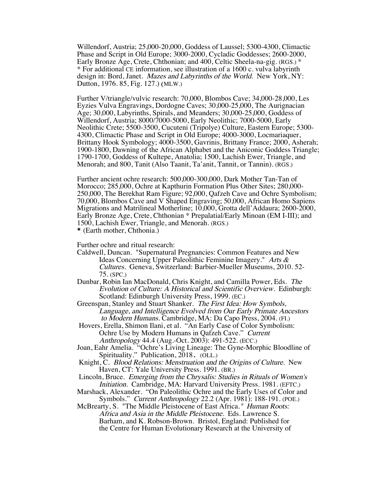Willendorf, Austria; 25,000-20,000, Goddess of Laussel; 5300-4300, Climactic Phase and Script in Old Europe; 3000-2000, Cycladic Goddesses; 2600-2000, Early Bronze Age, Crete, Chthonian; and 400, Celtic Sheela-na-gig. (RGS.) \* \* For additional CE information, see illustration of a 1600 c. vulva labyrinth design in: Bord, Janet. Mazes and Labyrinths of the World. New York, NY: Dutton, 1976. 85, Fig. 127.) (MLW.)

Further V/triangle/vulvic research: 70,000, Blombos Cave; 34,000-28,000, Les Eyzies Vulva Engravings, Dordogne Caves; 30,000-25,000, The Aurignacian Age; 30,000, Labyrinths, Spirals, and Meanders; 30,000-25,000, Goddess of Willendorf, Austria; 8000/7000-5000, Early Neolithic; 7000-5000, Early Neolithic Crete; 5500-3500, Cucuteni (Tripolye) Culture, Eastern Europe; 5300- 4300, Climactic Phase and Script in Old Europe; 4000-3000, Locmariaquer, Brittany Hook Symbology; 4000-3500, Gavrinis, Brittany France; 2000, Asherah; 1900-1800, Dawning of the African Alphabet and the Aniconic Goddess Triangle; 1790-1700, Goddess of Kultepe, Anatolia; 1500, Lachish Ewer, Triangle, and Menorah; and 800, Tanit (Also Taanit, Ta'anit, Tannit, or Tannin). (RGS.)

Further ancient ochre research: 500,000-300,000, Dark Mother Tan-Tan of Morocco; 285,000, Ochre at Kapthurin Formation Plus Other Sites; 280,000- 250,000, The Berekhat Ram Figure; 92,000, Qafzeh Cave and Ochre Symbolism; 70,000, Blombos Cave and V Shaped Engraving; 50,000, African Homo Sapiens Migrations and Matrilineal Motherline; 10,000, Grotta dell'Addaura; 2600-2000, Early Bronze Age, Crete, Chthonian \* Prepalatial/Early Minoan (EM I-III); and 1500, Lachish Ewer, Triangle, and Menorah. (RGS.) \* (Earth mother, Chthonia.)

Further ochre and ritual research:

- Caldwell, Duncan. "Supernatural Pregnancies: Common Features and New Ideas Concerning Upper Paleolithic Feminine Imagery." Arts & Cultures. Geneva, Switzerland: Barbier-Mueller Museums, 2010. 52- 75. (SPC.)
- Dunbar, Robin Ian MacDonald, Chris Knight, and Camilla Power, Eds. The Evolution of Culture: A Historical and Scientific Overview. Edinburgh: Scotland: Edinburgh University Press, 1999. (EC.)
- Greenspan, Stanley and Stuart Shanker. The First Idea: How Symbols, Language, and Intelligence Evolved from Our Early Primate Ancestors to Modern Humans. Cambridge, MA: Da Capo Press, 2004. (FI.)
- Hovers, Erella, Shimon Ilani, et al. "An Early Case of Color Symbolism: Ochre Use by Modern Humans in Qafzeh Cave." Current Anthropology 44.4 (Aug.-Oct. 2003): 491-522. (ECC.)
- Joan, Eahr Amelia. "Ochre's Living Lineage: The Gyne-Morphic Bloodline of Spirituality." Publication, 2018. (OLL.)
- Knight, C. Blood Relations: Menstruation and the Origins of Culture. New Haven, CT: Yale University Press. 1991. (BR.)
- Lincoln, Bruce. Emerging from the Chrysalis: Studies in Rituals of Women's Initiation. Cambridge, MA: Harvard University Press. 1981. (EFTC.)
- Marshack, Alexander. "On Paleolithic Ochre and the Early Uses of Color and Symbols." Current Anthropology 22.2 (Apr. 1981): 188-191. (POE.)
- McBrearty, S. "The Middle Pleistocene of East Africa." Human Roots: Africa and Asia in the Middle Pleistocene. Eds. Lawrence S. Barham, and K. Robson-Brown. Bristol, England: Published for the Centre for Human Evolutionary Research at the University of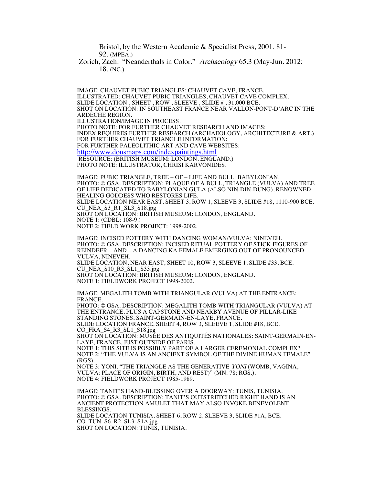Bristol, by the Western Academic & Specialist Press, 2001. 81- 92. (MPEA.)

Zorich, Zach. "Neanderthals in Color." Archaeology 65.3 (May-Jun. 2012: 18. (NC.)

IMAGE: CHAUVET PUBIC TRIANGLES: CHAUVET CAVE, FRANCE. ILLUSTRATED: CHAUVET PUBIC TRIANGLES, CHAUVET CAVE COMPLEX. SLIDE LOCATION , SHEET , ROW , SLEEVE , SLIDE # , 31,000 BCE. SHOT ON LOCATION: IN SOUTHEAST FRANCE NEAR VALLON-PONT-D'ARC IN THE ARDÈCHE REGION. ILLUSTRATION/IMAGE IN PROCESS. PHOTO NOTE: FOR FURTHER CHAUVET RESEARCH AND IMAGES: INDEX REQUIRES FURTHER RESEARCH (ARCHAEOLOGY, ARCHITECTURE & ART.) FOR FURTHER CHAUVET TRIANGLE INFORMATION: FOR FURTHER PALEOLITHIC ART AND CAVE WEBSITES: http://www.donsmaps.com/indexpaintings.html RESOURCE: (BRITISH MUSEUM: LONDON, ENGLAND.) PHOTO NOTE: ILLUSTRATOR, CHRISI KARVONIDES.

IMAGE: PUBIC TRIANGLE, TREE – OF – LIFE AND BULL: BABYLONIAN. PHOTO: © GSA. DESCRIPTION: PLAQUE OF A BULL, TRIANGLE (VULVA) AND TREE OF LIFE DEDICATED TO BABYLONIAN GULA (ALSO NIN-DIN-DUNG), RENOWNED HEALING GODDESS WHO RESTORES LIFE. SLIDE LOCATION NEAR EAST, SHEET 3, ROW 1, SLEEVE 3, SLIDE #18, 1110-900 BCE. CU\_NEA\_S3\_R1\_SL3\_S18.jpg SHOT ON LOCATION: BRITISH MUSEUM: LONDON, ENGLAND. NOTE 1: (CDBL: 108-9.) NOTE 2: FIELD WORK PROJECT: 1998-2002.

IMAGE: INCISED POTTERY WITH DANCING WOMAN/VULVA: NINEVEH. PHOTO: © GSA. DESCRIPTION: INCISED RITUAL POTTERY OF STICK FIGURES OF REINDEER – AND – A DANCING KA FEMALE EMERGING OUT OF PRONOUNCED VULVA, NINEVEH. SLIDE LOCATION, NEAR EAST, SHEET 10, ROW 3, SLEEVE 1, SLIDE #33, BCE. CU\_NEA\_S10\_R3\_SL1\_S33.jpg SHOT ON LOCATION: BRITISH MUSEUM: LONDON, ENGLAND. NOTE 1: FIELDWORK PROJECT 1998-2002.

IMAGE: MEGALITH TOMB WITH TRIANGULAR (VULVA) AT THE ENTRANCE: FRANCE. PHOTO: © GSA. DESCRIPTION: MEGALITH TOMB WITH TRIANGULAR (VULVA) AT THE ENTRANCE, PLUS A CAPSTONE AND NEARBY AVENUE OF PILLAR-LIKE STANDING STONES, SAINT-GERMAIN-EN-LAYE, FRANCE. SLIDE LOCATION FRANCE, SHEET 4, ROW 3, SLEEVE 1, SLIDE #18, BCE. CO\_FRA\_S4\_R3\_SL1\_S18.jpg SHOT ON LOCATION: MUSÉE DES ANTIQUITÉS NATIONALES: SAINT-GERMAIN-EN-LAYE, FRANCE, JUST OUTSIDE OF PARIS. NOTE 1: THIS SITE IS POSSIBLY PART OF A LARGER CEREMONIAL COMPLEX? NOTE 2: "THE VULVA IS AN ANCIENT SYMBOL OF THE DIVINE HUMAN FEMALE" (RGS). NOTE 3: YONI. "THE TRIANGLE AS THE GENERATIVE YONI (WOMB, VAGINA, VULVA: PLACE OF ORIGIN, BIRTH, AND REST)" (MN: 78; RGS.). NOTE 4: FIELDWORK PROJECT 1985-1989. IMAGE: TANIT'S HAND-BLESSING OVER A DOORWAY: TUNIS, TUNISIA. PHOTO: © GSA. DESCRIPTION: TANIT'S OUTSTRETCHED RIGHT HAND IS AN ANCIENT PROTECTION AMULET THAT MAY ALSO INVOKE BENEVOLENT BLESSINGS.

SLIDE LOCATION TUNISIA, SHEET 6, ROW 2, SLEEVE 3, SLIDE #1A, BCE. CO\_TUN\_S6\_R2\_SL3\_S1A.jpg SHOT ON LOCATION: TUNIS, TUNISIA.